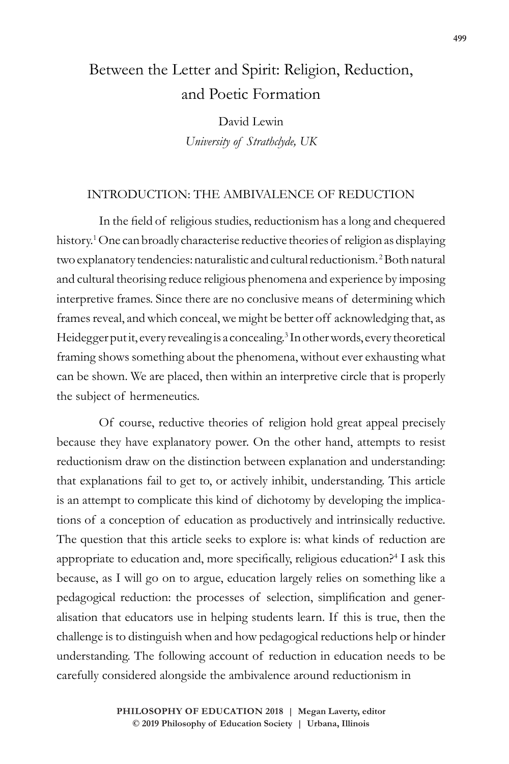# Between the Letter and Spirit: Religion, Reduction, and Poetic Formation

David Lewin *University of Strathclyde, UK*

## INTRODUCTION: THE AMBIVALENCE OF REDUCTION

In the field of religious studies, reductionism has a long and chequered history.<sup>1</sup> One can broadly characterise reductive theories of religion as displaying two explanatory tendencies: naturalistic and cultural reductionism.<sup>2</sup> Both natural and cultural theorising reduce religious phenomena and experience by imposing interpretive frames. Since there are no conclusive means of determining which frames reveal, and which conceal, we might be better off acknowledging that, as Heidegger put it, every revealing is a concealing.<sup>3</sup> In other words, every theoretical framing shows something about the phenomena, without ever exhausting what can be shown. We are placed, then within an interpretive circle that is properly the subject of hermeneutics.

Of course, reductive theories of religion hold great appeal precisely because they have explanatory power. On the other hand, attempts to resist reductionism draw on the distinction between explanation and understanding: that explanations fail to get to, or actively inhibit, understanding. This article is an attempt to complicate this kind of dichotomy by developing the implications of a conception of education as productively and intrinsically reductive. The question that this article seeks to explore is: what kinds of reduction are appropriate to education and, more specifically, religious education?<sup>4</sup> I ask this because, as I will go on to argue, education largely relies on something like a pedagogical reduction: the processes of selection, simplification and generalisation that educators use in helping students learn. If this is true, then the challenge is to distinguish when and how pedagogical reductions help or hinder understanding. The following account of reduction in education needs to be carefully considered alongside the ambivalence around reductionism in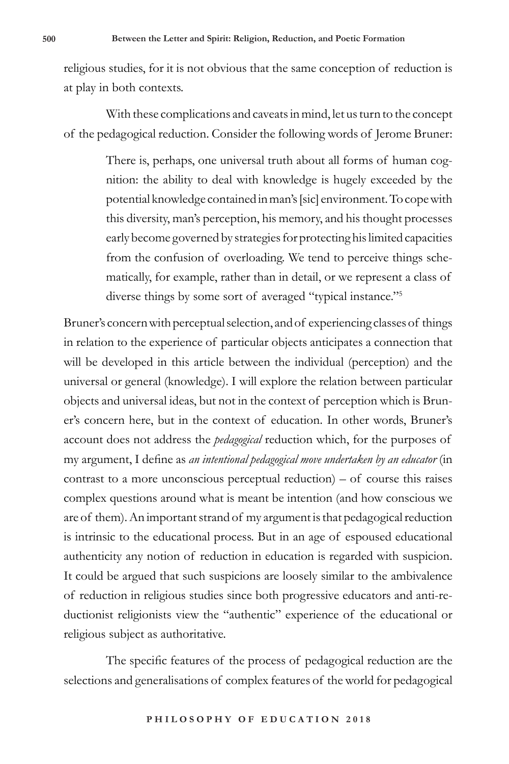religious studies, for it is not obvious that the same conception of reduction is at play in both contexts.

With these complications and caveats in mind, let us turn to the concept of the pedagogical reduction. Consider the following words of Jerome Bruner:

> There is, perhaps, one universal truth about all forms of human cognition: the ability to deal with knowledge is hugely exceeded by the potential knowledge contained in man's [sic] environment. To cope with this diversity, man's perception, his memory, and his thought processes early become governed by strategies for protecting his limited capacities from the confusion of overloading. We tend to perceive things schematically, for example, rather than in detail, or we represent a class of diverse things by some sort of averaged "typical instance."<sup>5</sup>

Bruner's concern with perceptual selection, and of experiencing classes of things in relation to the experience of particular objects anticipates a connection that will be developed in this article between the individual (perception) and the universal or general (knowledge). I will explore the relation between particular objects and universal ideas, but not in the context of perception which is Bruner's concern here, but in the context of education. In other words, Bruner's account does not address the *pedagogical* reduction which, for the purposes of my argument, I define as *an intentional pedagogical move undertaken by an educator* (in contrast to a more unconscious perceptual reduction) – of course this raises complex questions around what is meant be intention (and how conscious we are of them). An important strand of my argument is that pedagogical reduction is intrinsic to the educational process. But in an age of espoused educational authenticity any notion of reduction in education is regarded with suspicion. It could be argued that such suspicions are loosely similar to the ambivalence of reduction in religious studies since both progressive educators and anti-reductionist religionists view the "authentic" experience of the educational or religious subject as authoritative.

The specific features of the process of pedagogical reduction are the selections and generalisations of complex features of the world for pedagogical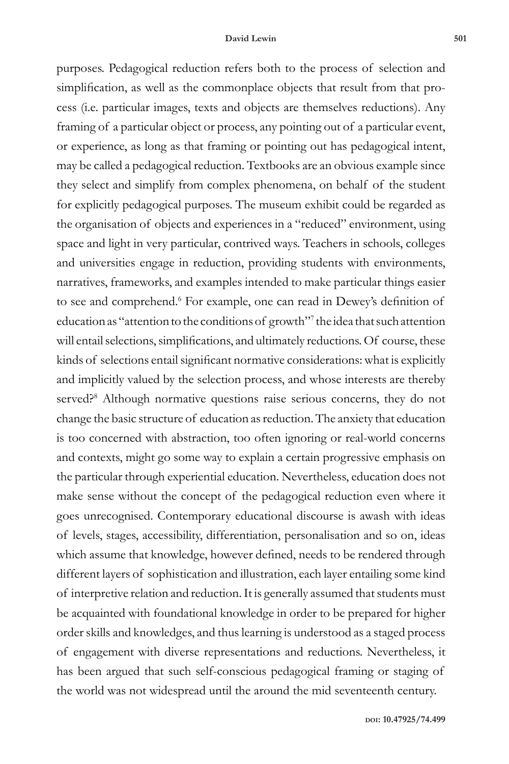purposes. Pedagogical reduction refers both to the process of selection and simplification, as well as the commonplace objects that result from that process (i.e. particular images, texts and objects are themselves reductions). Any framing of a particular object or process, any pointing out of a particular event, or experience, as long as that framing or pointing out has pedagogical intent, may be called a pedagogical reduction. Textbooks are an obvious example since they select and simplify from complex phenomena, on behalf of the student for explicitly pedagogical purposes. The museum exhibit could be regarded as the organisation of objects and experiences in a "reduced" environment, using space and light in very particular, contrived ways. Teachers in schools, colleges and universities engage in reduction, providing students with environments, narratives, frameworks, and examples intended to make particular things easier to see and comprehend.<sup>6</sup> For example, one can read in Dewey's definition of education as "attention to the conditions of growth"<sup>7</sup> the idea that such attention will entail selections, simplifications, and ultimately reductions. Of course, these kinds of selections entail significant normative considerations: what is explicitly and implicitly valued by the selection process, and whose interests are thereby served?<sup>8</sup> Although normative questions raise serious concerns, they do not change the basic structure of education as reduction. The anxiety that education is too concerned with abstraction, too often ignoring or real-world concerns and contexts, might go some way to explain a certain progressive emphasis on the particular through experiential education. Nevertheless, education does not make sense without the concept of the pedagogical reduction even where it goes unrecognised. Contemporary educational discourse is awash with ideas of levels, stages, accessibility, differentiation, personalisation and so on, ideas which assume that knowledge, however defined, needs to be rendered through different layers of sophistication and illustration, each layer entailing some kind of interpretive relation and reduction. It is generally assumed that students must be acquainted with foundational knowledge in order to be prepared for higher order skills and knowledges, and thus learning is understood as a staged process of engagement with diverse representations and reductions. Nevertheless, it has been argued that such self-conscious pedagogical framing or staging of the world was not widespread until the around the mid seventeenth century.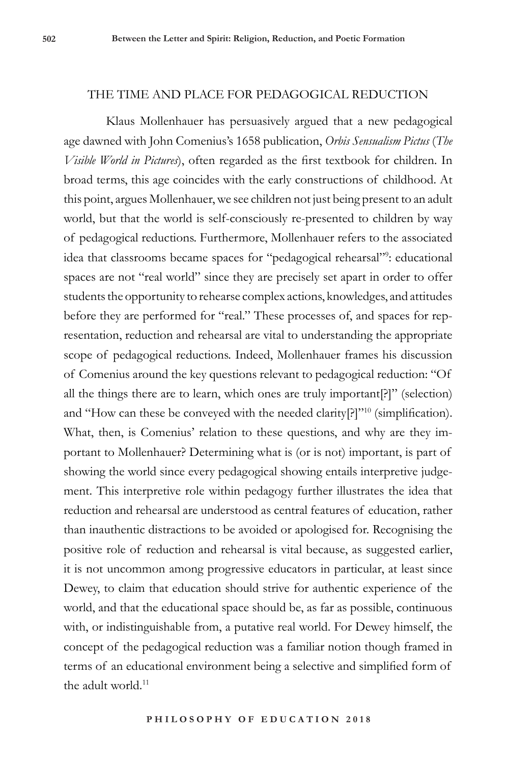## THE TIME AND PLACE FOR PEDAGOGICAL REDUCTION

Klaus Mollenhauer has persuasively argued that a new pedagogical age dawned with John Comenius's 1658 publication, *Orbis Sensualism Pictus* (*The Visible World in Pictures*), often regarded as the first textbook for children. In broad terms, this age coincides with the early constructions of childhood. At this point, argues Mollenhauer, we see children not just being present to an adult world, but that the world is self-consciously re-presented to children by way of pedagogical reductions. Furthermore, Mollenhauer refers to the associated idea that classrooms became spaces for "pedagogical rehearsal"<sup>9</sup> : educational spaces are not "real world" since they are precisely set apart in order to offer students the opportunity to rehearse complex actions, knowledges, and attitudes before they are performed for "real." These processes of, and spaces for representation, reduction and rehearsal are vital to understanding the appropriate scope of pedagogical reductions. Indeed, Mollenhauer frames his discussion of Comenius around the key questions relevant to pedagogical reduction: "Of all the things there are to learn, which ones are truly important[?]" (selection) and "How can these be conveyed with the needed clarity $[?]$ "<sup>10</sup> (simplification). What, then, is Comenius' relation to these questions, and why are they important to Mollenhauer? Determining what is (or is not) important, is part of showing the world since every pedagogical showing entails interpretive judgement. This interpretive role within pedagogy further illustrates the idea that reduction and rehearsal are understood as central features of education, rather than inauthentic distractions to be avoided or apologised for. Recognising the positive role of reduction and rehearsal is vital because, as suggested earlier, it is not uncommon among progressive educators in particular, at least since Dewey, to claim that education should strive for authentic experience of the world, and that the educational space should be, as far as possible, continuous with, or indistinguishable from, a putative real world. For Dewey himself, the concept of the pedagogical reduction was a familiar notion though framed in terms of an educational environment being a selective and simplified form of the adult world. $11$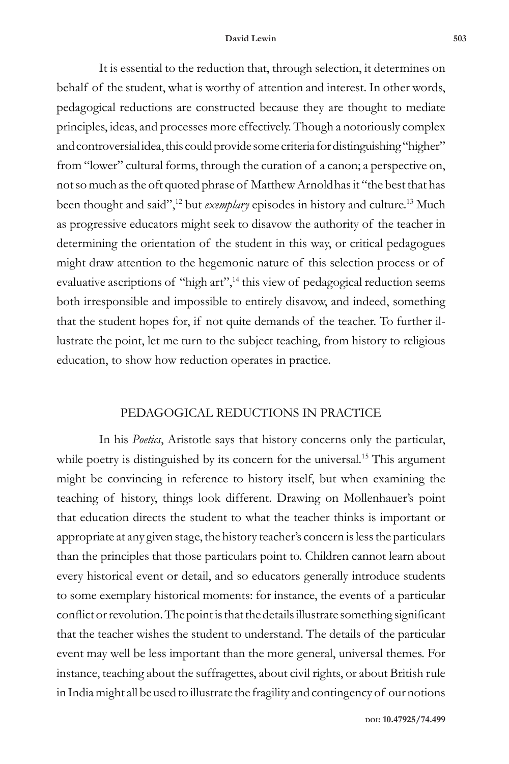#### **David Lewin 503**

It is essential to the reduction that, through selection, it determines on behalf of the student, what is worthy of attention and interest. In other words, pedagogical reductions are constructed because they are thought to mediate principles, ideas, and processes more effectively. Though a notoriously complex and controversial idea, this could provide some criteria for distinguishing "higher" from "lower" cultural forms, through the curation of a canon; a perspective on, not so much as the oft quoted phrase of Matthew Arnoldhas it "the best that has been thought and said",12 but *exemplary* episodes in history and culture.13 Much as progressive educators might seek to disavow the authority of the teacher in determining the orientation of the student in this way, or critical pedagogues might draw attention to the hegemonic nature of this selection process or of evaluative ascriptions of "high art",<sup>14</sup> this view of pedagogical reduction seems both irresponsible and impossible to entirely disavow, and indeed, something that the student hopes for, if not quite demands of the teacher. To further illustrate the point, let me turn to the subject teaching, from history to religious education, to show how reduction operates in practice.

## PEDAGOGICAL REDUCTIONS IN PRACTICE

In his *Poetics*, Aristotle says that history concerns only the particular, while poetry is distinguished by its concern for the universal.<sup>15</sup> This argument might be convincing in reference to history itself, but when examining the teaching of history, things look different. Drawing on Mollenhauer's point that education directs the student to what the teacher thinks is important or appropriate at any given stage, the history teacher's concern is less the particulars than the principles that those particulars point to. Children cannot learn about every historical event or detail, and so educators generally introduce students to some exemplary historical moments: for instance, the events of a particular conflict or revolution. The point is that the details illustrate something significant that the teacher wishes the student to understand. The details of the particular event may well be less important than the more general, universal themes. For instance, teaching about the suffragettes, about civil rights, or about British rule in India might all be used to illustrate the fragility and contingency of our notions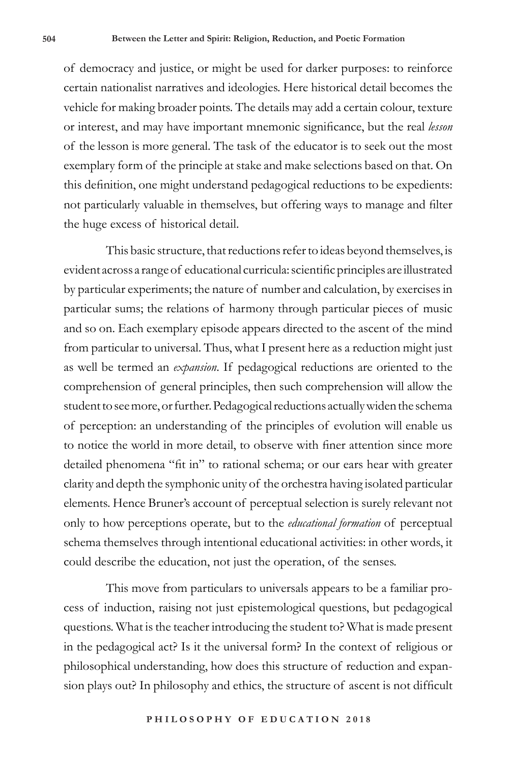of democracy and justice, or might be used for darker purposes: to reinforce certain nationalist narratives and ideologies. Here historical detail becomes the vehicle for making broader points. The details may add a certain colour, texture or interest, and may have important mnemonic significance, but the real *lesson* of the lesson is more general. The task of the educator is to seek out the most exemplary form of the principle at stake and make selections based on that. On this definition, one might understand pedagogical reductions to be expedients: not particularly valuable in themselves, but offering ways to manage and filter the huge excess of historical detail.

This basic structure, that reductions refer to ideas beyond themselves, is evident across a range of educational curricula: scientific principles are illustrated by particular experiments; the nature of number and calculation, by exercises in particular sums; the relations of harmony through particular pieces of music and so on. Each exemplary episode appears directed to the ascent of the mind from particular to universal. Thus, what I present here as a reduction might just as well be termed an *expansion*. If pedagogical reductions are oriented to the comprehension of general principles, then such comprehension will allow the student to see more, or further. Pedagogical reductions actually widen the schema of perception: an understanding of the principles of evolution will enable us to notice the world in more detail, to observe with finer attention since more detailed phenomena "fit in" to rational schema; or our ears hear with greater clarity and depth the symphonic unity of the orchestra having isolated particular elements. Hence Bruner's account of perceptual selection is surely relevant not only to how perceptions operate, but to the *educational formation* of perceptual schema themselves through intentional educational activities: in other words, it could describe the education, not just the operation, of the senses.

This move from particulars to universals appears to be a familiar process of induction, raising not just epistemological questions, but pedagogical questions. What is the teacher introducing the student to? What is made present in the pedagogical act? Is it the universal form? In the context of religious or philosophical understanding, how does this structure of reduction and expansion plays out? In philosophy and ethics, the structure of ascent is not difficult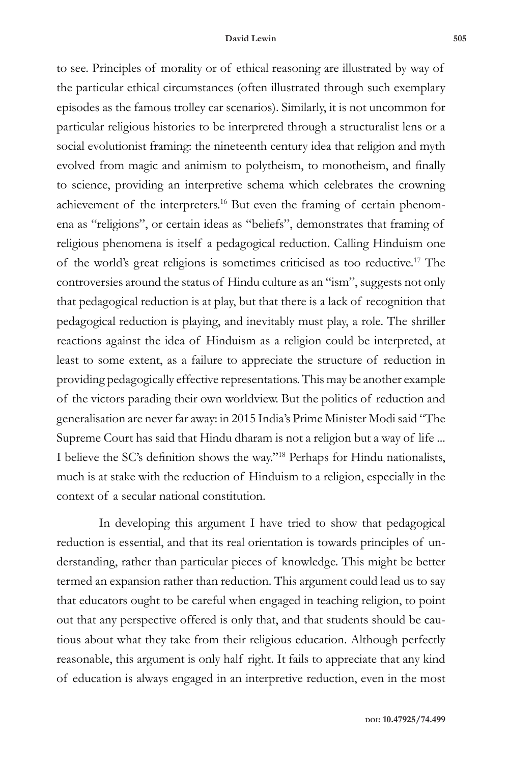to see. Principles of morality or of ethical reasoning are illustrated by way of the particular ethical circumstances (often illustrated through such exemplary episodes as the famous trolley car scenarios). Similarly, it is not uncommon for particular religious histories to be interpreted through a structuralist lens or a social evolutionist framing: the nineteenth century idea that religion and myth evolved from magic and animism to polytheism, to monotheism, and finally to science, providing an interpretive schema which celebrates the crowning achievement of the interpreters.16 But even the framing of certain phenomena as "religions", or certain ideas as "beliefs", demonstrates that framing of religious phenomena is itself a pedagogical reduction. Calling Hinduism one of the world's great religions is sometimes criticised as too reductive.17 The controversies around the status of Hindu culture as an "ism", suggests not only that pedagogical reduction is at play, but that there is a lack of recognition that pedagogical reduction is playing, and inevitably must play, a role. The shriller reactions against the idea of Hinduism as a religion could be interpreted, at least to some extent, as a failure to appreciate the structure of reduction in providing pedagogically effective representations. This may be another example of the victors parading their own worldview. But the politics of reduction and generalisation are never far away: in 2015 India's Prime Minister Modi said "The Supreme Court has said that Hindu dharam is not a religion but a way of life ... I believe the SC's definition shows the way."<sup>18</sup> Perhaps for Hindu nationalists, much is at stake with the reduction of Hinduism to a religion, especially in the context of a secular national constitution.

In developing this argument I have tried to show that pedagogical reduction is essential, and that its real orientation is towards principles of understanding, rather than particular pieces of knowledge. This might be better termed an expansion rather than reduction. This argument could lead us to say that educators ought to be careful when engaged in teaching religion, to point out that any perspective offered is only that, and that students should be cautious about what they take from their religious education. Although perfectly reasonable, this argument is only half right. It fails to appreciate that any kind of education is always engaged in an interpretive reduction, even in the most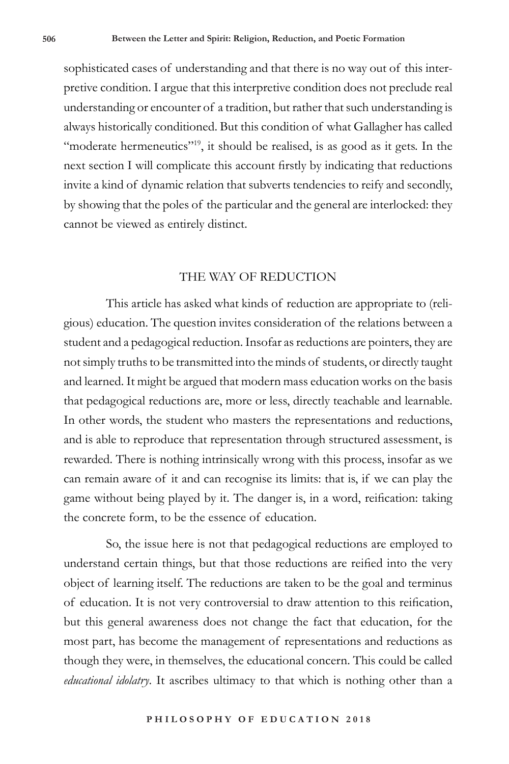sophisticated cases of understanding and that there is no way out of this interpretive condition. I argue that this interpretive condition does not preclude real understanding or encounter of a tradition, but rather that such understanding is always historically conditioned. But this condition of what Gallagher has called "moderate hermeneutics"<sup>19</sup>, it should be realised, is as good as it gets. In the next section I will complicate this account firstly by indicating that reductions invite a kind of dynamic relation that subverts tendencies to reify and secondly, by showing that the poles of the particular and the general are interlocked: they cannot be viewed as entirely distinct.

## THE WAY OF REDUCTION

This article has asked what kinds of reduction are appropriate to (religious) education. The question invites consideration of the relations between a student and a pedagogical reduction. Insofar as reductions are pointers, they are not simply truths to be transmitted into the minds of students, or directly taught and learned. It might be argued that modern mass education works on the basis that pedagogical reductions are, more or less, directly teachable and learnable. In other words, the student who masters the representations and reductions, and is able to reproduce that representation through structured assessment, is rewarded. There is nothing intrinsically wrong with this process, insofar as we can remain aware of it and can recognise its limits: that is, if we can play the game without being played by it. The danger is, in a word, reification: taking the concrete form, to be the essence of education.

So, the issue here is not that pedagogical reductions are employed to understand certain things, but that those reductions are reified into the very object of learning itself. The reductions are taken to be the goal and terminus of education. It is not very controversial to draw attention to this reification, but this general awareness does not change the fact that education, for the most part, has become the management of representations and reductions as though they were, in themselves, the educational concern. This could be called *educational idolatry*. It ascribes ultimacy to that which is nothing other than a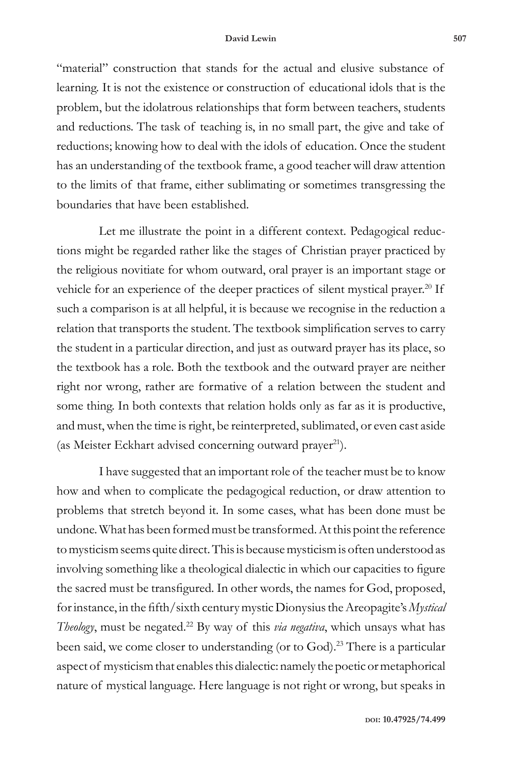#### **David Lewin 507**

"material" construction that stands for the actual and elusive substance of learning. It is not the existence or construction of educational idols that is the problem, but the idolatrous relationships that form between teachers, students and reductions. The task of teaching is, in no small part, the give and take of reductions; knowing how to deal with the idols of education. Once the student has an understanding of the textbook frame, a good teacher will draw attention to the limits of that frame, either sublimating or sometimes transgressing the boundaries that have been established.

Let me illustrate the point in a different context. Pedagogical reductions might be regarded rather like the stages of Christian prayer practiced by the religious novitiate for whom outward, oral prayer is an important stage or vehicle for an experience of the deeper practices of silent mystical prayer.<sup>20</sup> If such a comparison is at all helpful, it is because we recognise in the reduction a relation that transports the student. The textbook simplification serves to carry the student in a particular direction, and just as outward prayer has its place, so the textbook has a role. Both the textbook and the outward prayer are neither right nor wrong, rather are formative of a relation between the student and some thing. In both contexts that relation holds only as far as it is productive, and must, when the time is right, be reinterpreted, sublimated, or even cast aside (as Meister Eckhart advised concerning outward prayer<sup>21</sup>).

I have suggested that an important role of the teacher must be to know how and when to complicate the pedagogical reduction, or draw attention to problems that stretch beyond it. In some cases, what has been done must be undone. What has been formed must be transformed. At this point the reference to mysticism seems quite direct. This is because mysticism is often understood as involving something like a theological dialectic in which our capacities to figure the sacred must be transfigured. In other words, the names for God, proposed, for instance, in the fifth/sixth century mystic Dionysius the Areopagite's *Mystical Theology*, must be negated.<sup>22</sup> By way of this *via negativa*, which unsays what has been said, we come closer to understanding (or to God).<sup>23</sup> There is a particular aspect of mysticism that enables this dialectic: namely the poetic or metaphorical nature of mystical language. Here language is not right or wrong, but speaks in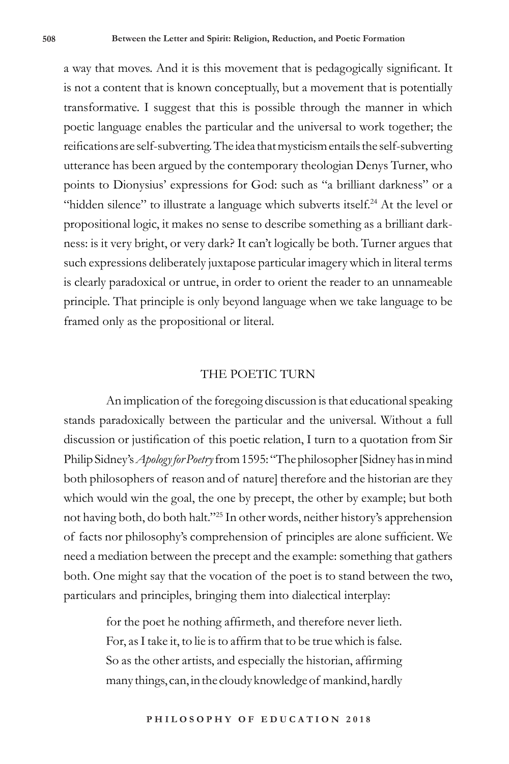a way that moves. And it is this movement that is pedagogically significant. It is not a content that is known conceptually, but a movement that is potentially transformative. I suggest that this is possible through the manner in which poetic language enables the particular and the universal to work together; the reifications are self-subverting. The idea that mysticism entails the self-subverting utterance has been argued by the contemporary theologian Denys Turner, who points to Dionysius' expressions for God: such as "a brilliant darkness" or a "hidden silence" to illustrate a language which subverts itself.<sup>24</sup> At the level or propositional logic, it makes no sense to describe something as a brilliant darkness: is it very bright, or very dark? It can't logically be both. Turner argues that such expressions deliberately juxtapose particular imagery which in literal terms is clearly paradoxical or untrue, in order to orient the reader to an unnameable principle. That principle is only beyond language when we take language to be framed only as the propositional or literal.

#### THE POETIC TURN

An implication of the foregoing discussion is that educational speaking stands paradoxically between the particular and the universal. Without a full discussion or justification of this poetic relation, I turn to a quotation from Sir Philip Sidney's *Apology for Poetry* from 1595: "The philosopher [Sidney has in mind both philosophers of reason and of nature] therefore and the historian are they which would win the goal, the one by precept, the other by example; but both not having both, do both halt."<sup>25</sup> In other words, neither history's apprehension of facts nor philosophy's comprehension of principles are alone sufficient. We need a mediation between the precept and the example: something that gathers both. One might say that the vocation of the poet is to stand between the two, particulars and principles, bringing them into dialectical interplay:

> for the poet he nothing affirmeth, and therefore never lieth. For, as I take it, to lie is to affirm that to be true which is false. So as the other artists, and especially the historian, affirming many things, can, in the cloudy knowledge of mankind, hardly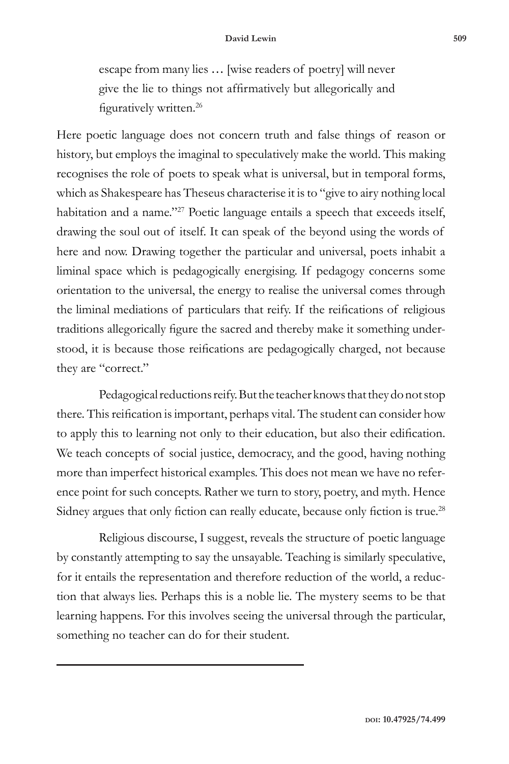escape from many lies … [wise readers of poetry] will never give the lie to things not affirmatively but allegorically and figuratively written.<sup>26</sup>

Here poetic language does not concern truth and false things of reason or history, but employs the imaginal to speculatively make the world. This making recognises the role of poets to speak what is universal, but in temporal forms, which as Shakespeare has Theseus characterise it is to "give to airy nothing local habitation and a name."<sup>27</sup> Poetic language entails a speech that exceeds itself, drawing the soul out of itself. It can speak of the beyond using the words of here and now. Drawing together the particular and universal, poets inhabit a liminal space which is pedagogically energising. If pedagogy concerns some orientation to the universal, the energy to realise the universal comes through the liminal mediations of particulars that reify. If the reifications of religious traditions allegorically figure the sacred and thereby make it something understood, it is because those reifications are pedagogically charged, not because they are "correct."

Pedagogical reductions reify. But the teacher knows that they do not stop there. This reification is important, perhaps vital. The student can consider how to apply this to learning not only to their education, but also their edification. We teach concepts of social justice, democracy, and the good, having nothing more than imperfect historical examples. This does not mean we have no reference point for such concepts. Rather we turn to story, poetry, and myth. Hence Sidney argues that only fiction can really educate, because only fiction is true.<sup>28</sup>

Religious discourse, I suggest, reveals the structure of poetic language by constantly attempting to say the unsayable. Teaching is similarly speculative, for it entails the representation and therefore reduction of the world, a reduction that always lies. Perhaps this is a noble lie. The mystery seems to be that learning happens. For this involves seeing the universal through the particular, something no teacher can do for their student.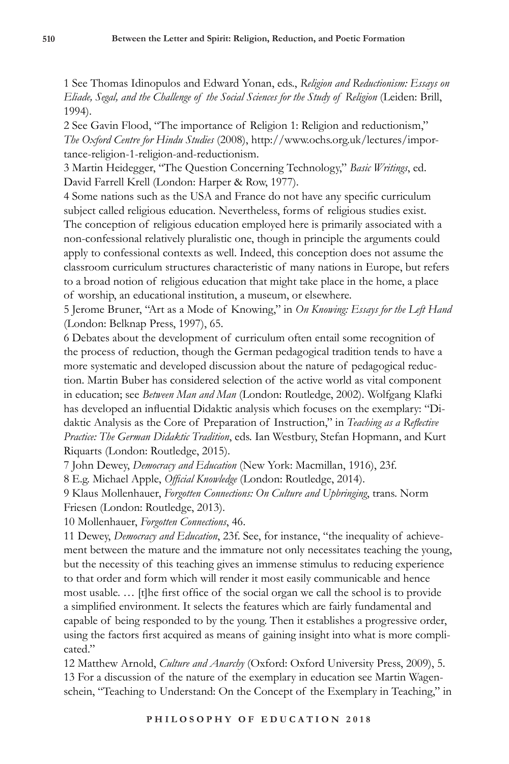1 See Thomas Idinopulos and Edward Yonan, eds., *Religion and Reductionism: Essays on Eliade, Segal, and the Challenge of the Social Sciences for the Study of Religion* (Leiden: Brill, 1994).

2 See Gavin Flood, "The importance of Religion 1: Religion and reductionism," *The Oxford Centre for Hindu Studies* (2008), http://www.ochs.org.uk/lectures/importance-religion-1-religion-and-reductionism.

3 Martin Heidegger, "The Question Concerning Technology," *Basic Writings*, ed. David Farrell Krell (London: Harper & Row, 1977).

4 Some nations such as the USA and France do not have any specific curriculum subject called religious education. Nevertheless, forms of religious studies exist. The conception of religious education employed here is primarily associated with a non-confessional relatively pluralistic one, though in principle the arguments could apply to confessional contexts as well. Indeed, this conception does not assume the classroom curriculum structures characteristic of many nations in Europe, but refers to a broad notion of religious education that might take place in the home, a place of worship, an educational institution, a museum, or elsewhere.

5 Jerome Bruner, "Art as a Mode of Knowing," in *On Knowing: Essays for the Left Hand* (London: Belknap Press, 1997), 65.

6 Debates about the development of curriculum often entail some recognition of the process of reduction, though the German pedagogical tradition tends to have a more systematic and developed discussion about the nature of pedagogical reduction. Martin Buber has considered selection of the active world as vital component in education; see *Between Man and Man* (London: Routledge, 2002). Wolfgang Klafki has developed an influential Didaktic analysis which focuses on the exemplary: "Didaktic Analysis as the Core of Preparation of Instruction," in *Teaching as a Reflective Practice: The German Didaktic Tradition*, eds. Ian Westbury, Stefan Hopmann, and Kurt Riquarts (London: Routledge, 2015).

7 John Dewey, *Democracy and Education* (New York: Macmillan, 1916), 23f.

8 E.g. Michael Apple, *Official Knowledge* (London: Routledge, 2014).

9 Klaus Mollenhauer, *Forgotten Connections: On Culture and Upbringing*, trans. Norm Friesen (London: Routledge, 2013).

10 Mollenhauer, *Forgotten Connections*, 46.

11 Dewey, *Democracy and Education*, 23f. See, for instance, "the inequality of achievement between the mature and the immature not only necessitates teaching the young, but the necessity of this teaching gives an immense stimulus to reducing experience to that order and form which will render it most easily communicable and hence most usable. … [t]he first office of the social organ we call the school is to provide a simplified environment. It selects the features which are fairly fundamental and capable of being responded to by the young. Then it establishes a progressive order, using the factors first acquired as means of gaining insight into what is more complicated."

12 Matthew Arnold, *Culture and Anarchy* (Oxford: Oxford University Press, 2009), 5. 13 For a discussion of the nature of the exemplary in education see Martin Wagenschein, "Teaching to Understand: On the Concept of the Exemplary in Teaching," in